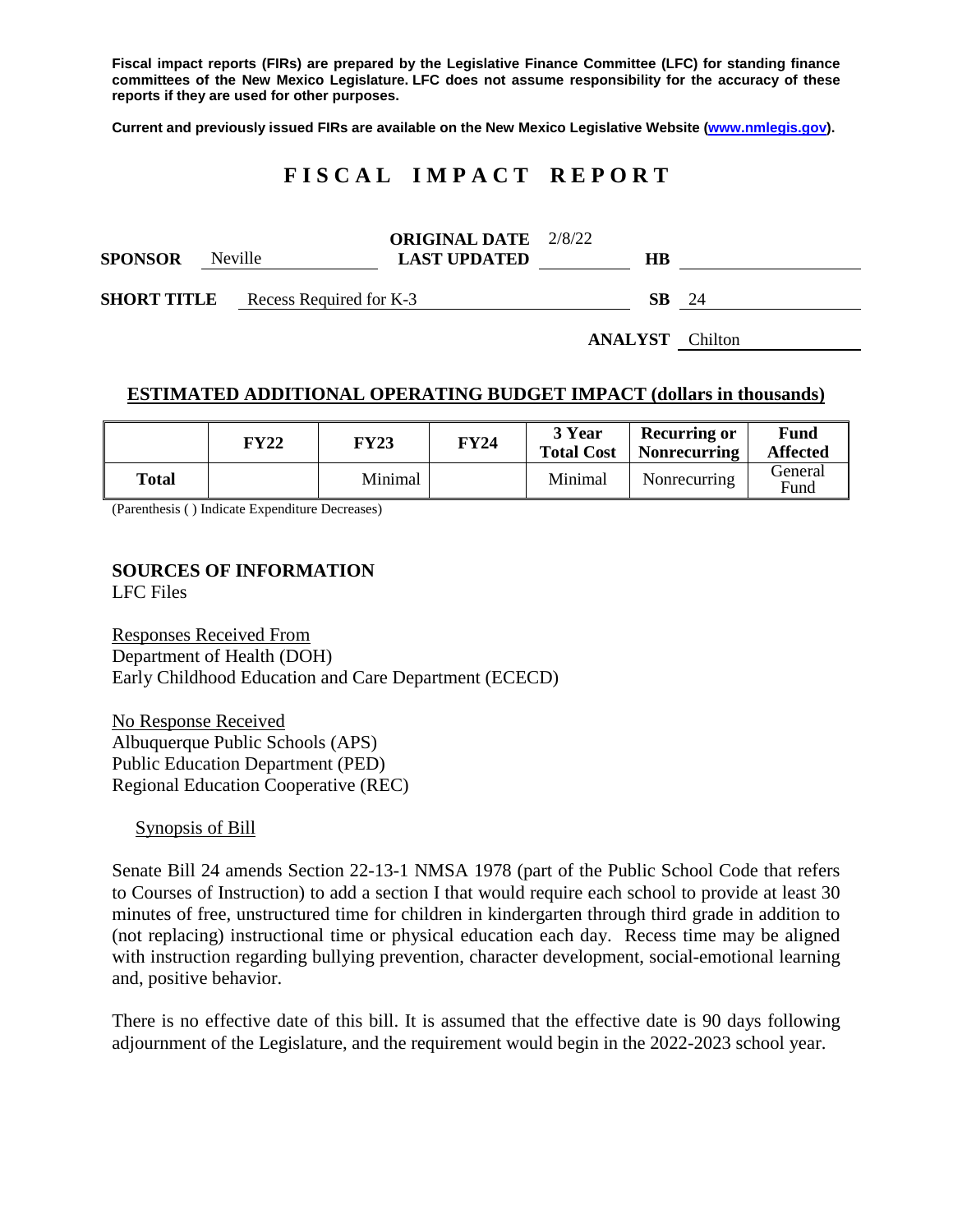**Fiscal impact reports (FIRs) are prepared by the Legislative Finance Committee (LFC) for standing finance committees of the New Mexico Legislature. LFC does not assume responsibility for the accuracy of these reports if they are used for other purposes.**

**Current and previously issued FIRs are available on the New Mexico Legislative Website [\(www.nmlegis.gov\)](http://www.nmlegis.gov/).**

# **F I S C A L I M P A C T R E P O R T**

| <b>SPONSOR</b>     | Neville                 | <b>ORIGINAL DATE</b> 2/8/22<br><b>LAST UPDATED</b> | <b>HB</b>              |      |
|--------------------|-------------------------|----------------------------------------------------|------------------------|------|
| <b>SHORT TITLE</b> | Recess Required for K-3 |                                                    | SB.                    | - 24 |
|                    |                         |                                                    | <b>ANALYST</b> Chilton |      |

## **ESTIMATED ADDITIONAL OPERATING BUDGET IMPACT (dollars in thousands)**

|       | FY22 | FY23    | FY24 | 3 Year<br><b>Total Cost</b> | <b>Recurring or</b><br><b>Nonrecurring</b> | Fund<br><b>Affected</b> |
|-------|------|---------|------|-----------------------------|--------------------------------------------|-------------------------|
| Total |      | Minimal |      | Minimal                     | Nonrecurring                               | General<br>Fund         |

(Parenthesis ( ) Indicate Expenditure Decreases)

#### **SOURCES OF INFORMATION** LFC Files

Responses Received From Department of Health (DOH) Early Childhood Education and Care Department (ECECD)

No Response Received Albuquerque Public Schools (APS) Public Education Department (PED) Regional Education Cooperative (REC)

Synopsis of Bill

Senate Bill 24 amends Section 22-13-1 NMSA 1978 (part of the Public School Code that refers to Courses of Instruction) to add a section I that would require each school to provide at least 30 minutes of free, unstructured time for children in kindergarten through third grade in addition to (not replacing) instructional time or physical education each day. Recess time may be aligned with instruction regarding bullying prevention, character development, social-emotional learning and, positive behavior.

There is no effective date of this bill. It is assumed that the effective date is 90 days following adjournment of the Legislature, and the requirement would begin in the 2022-2023 school year.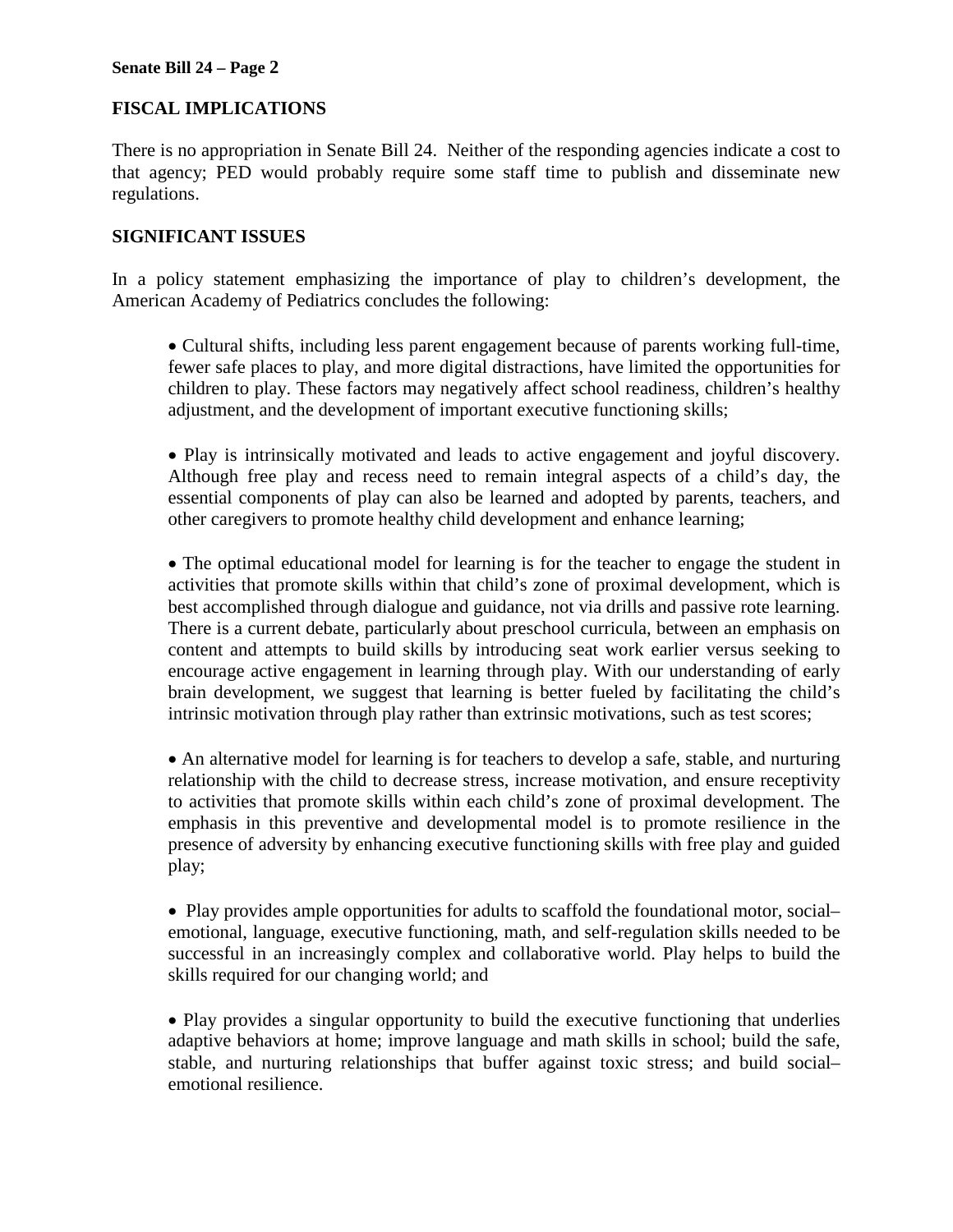#### **Senate Bill 24 – Page 2**

## **FISCAL IMPLICATIONS**

There is no appropriation in Senate Bill 24. Neither of the responding agencies indicate a cost to that agency; PED would probably require some staff time to publish and disseminate new regulations.

### **SIGNIFICANT ISSUES**

In a policy statement emphasizing the importance of play to children's development, the American Academy of Pediatrics concludes the following:

• Cultural shifts, including less parent engagement because of parents working full-time, fewer safe places to play, and more digital distractions, have limited the opportunities for children to play. These factors may negatively affect school readiness, children's healthy adjustment, and the development of important executive functioning skills;

• Play is intrinsically motivated and leads to active engagement and joyful discovery. Although free play and recess need to remain integral aspects of a child's day, the essential components of play can also be learned and adopted by parents, teachers, and other caregivers to promote healthy child development and enhance learning;

• The optimal educational model for learning is for the teacher to engage the student in activities that promote skills within that child's zone of proximal development, which is best accomplished through dialogue and guidance, not via drills and passive rote learning. There is a current debate, particularly about preschool curricula, between an emphasis on content and attempts to build skills by introducing seat work earlier versus seeking to encourage active engagement in learning through play. With our understanding of early brain development, we suggest that learning is better fueled by facilitating the child's intrinsic motivation through play rather than extrinsic motivations, such as test scores;

• An alternative model for learning is for teachers to develop a safe, stable, and nurturing relationship with the child to decrease stress, increase motivation, and ensure receptivity to activities that promote skills within each child's zone of proximal development. The emphasis in this preventive and developmental model is to promote resilience in the presence of adversity by enhancing executive functioning skills with free play and guided play;

• Play provides ample opportunities for adults to scaffold the foundational motor, social– emotional, language, executive functioning, math, and self-regulation skills needed to be successful in an increasingly complex and collaborative world. Play helps to build the skills required for our changing world; and

• Play provides a singular opportunity to build the executive functioning that underlies adaptive behaviors at home; improve language and math skills in school; build the safe, stable, and nurturing relationships that buffer against toxic stress; and build social– emotional resilience.